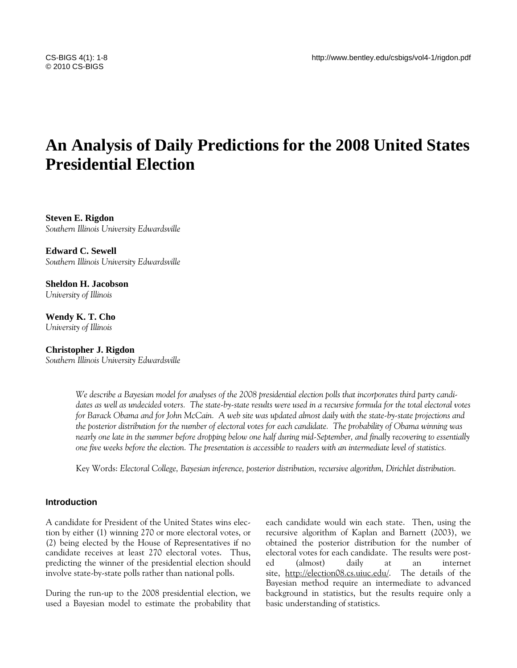# **An Analysis of Daily Predictions for the 2008 United States Presidential Election**

**Steven E. Rigdon**  *Southern Illinois University Edwardsville* 

**Edward C. Sewell**  *Southern Illinois University Edwardsville* 

**Sheldon H. Jacobson**  *University of Illinois* 

**Wendy K. T. Cho**  *University of Illinois* 

**Christopher J. Rigdon**  *Southern Illinois University Edwardsville* 

> *We describe a Bayesian model for analyses of the 2008 presidential election polls that incorporates third party candidates as well as undecided voters. The state-by-state results were used in a recursive formula for the total electoral votes for Barack Obama and for John McCain. A web site was updated almost daily with the state-by-state projections and the posterior distribution for the number of electoral votes for each candidate. The probability of Obama winning was nearly one late in the summer before dropping below one half during mid-September, and finally recovering to essentially one five weeks before the election. The presentation is accessible to readers with an intermediate level of statistics.*

Key Words: *Electoral College, Bayesian inference, posterior distribution, recursive algorithm, Dirichlet distribution.*

# **Introduction**

A candidate for President of the United States wins election by either (1) winning 270 or more electoral votes, or (2) being elected by the House of Representatives if no candidate receives at least 270 electoral votes. Thus, predicting the winner of the presidential election should involve state-by-state polls rather than national polls.

During the run-up to the 2008 presidential election, we used a Bayesian model to estimate the probability that each candidate would win each state. Then, using the recursive algorithm of Kaplan and Barnett (2003), we obtained the posterior distribution for the number of electoral votes for each candidate. The results were posted (almost) daily at an internet site, http://election08.cs.uiuc.edu/. The details of the Bayesian method require an intermediate to advanced background in statistics, but the results require only a basic understanding of statistics.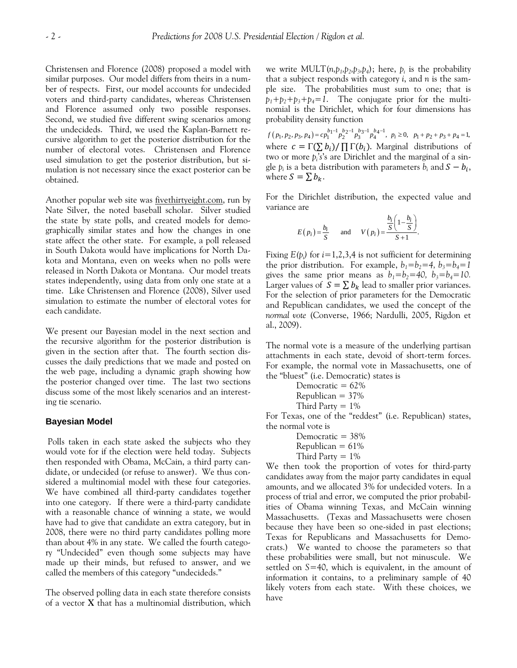Christensen and Florence (2008) proposed a model with similar purposes. Our model differs from theirs in a number of respects. First, our model accounts for undecided voters and third-party candidates, whereas Christensen and Florence assumed only two possible responses. Second, we studied five different swing scenarios among the undecideds. Third, we used the Kaplan-Barnett recursive algorithm to get the posterior distribution for the number of electoral votes. Christensen and Florence used simulation to get the posterior distribution, but simulation is not necessary since the exact posterior can be obtained.

Another popular web site was fivethirtyeight.com, run by Nate Silver, the noted baseball scholar. Silver studied the state by state polls, and created models for demographically similar states and how the changes in one state affect the other state. For example, a poll released in South Dakota would have implications for North Dakota and Montana, even on weeks when no polls were released in North Dakota or Montana. Our model treats states independently, using data from only one state at a time. Like Christensen and Florence (2008), Silver used simulation to estimate the number of electoral votes for each candidate.

We present our Bayesian model in the next section and the recursive algorithm for the posterior distribution is given in the section after that. The fourth section discusses the daily predictions that we made and posted on the web page, including a dynamic graph showing how the posterior changed over time. The last two sections discuss some of the most likely scenarios and an interesting tie scenario.

## **Bayesian Model**

 Polls taken in each state asked the subjects who they would vote for if the election were held today. Subjects then responded with Obama, McCain, a third party candidate, or undecided (or refuse to answer). We thus considered a multinomial model with these four categories. We have combined all third-party candidates together into one category. If there were a third-party candidate with a reasonable chance of winning a state, we would have had to give that candidate an extra category, but in 2008, there were no third party candidates polling more than about 4% in any state. We called the fourth category "Undecided" even though some subjects may have made up their minds, but refused to answer, and we called the members of this category "undecideds."

The observed polling data in each state therefore consists of a vector **X** that has a multinomial distribution, which

we write  $MULT(n, p_1, p_2, p_3, p_4)$ ; here,  $p_i$  is the probability that a subject responds with category *i*, and *n* is the sample size. The probabilities must sum to one; that is  $p_1+p_2+p_3+p_4=1$ . The conjugate prior for the multinomial is the Dirichlet, which for four dimensions has probability density function

 $(f (p_1, p_2, p_3, p_4) = c p_1^{b_1-1} p_2^{b_2-1} p_3^{b_3-1} p_4^{b_4-1}, p_i \ge 0, p_1 + p_2 + p_3 + p_4 = 1,$ where  $c = \Gamma(\sum b_i)/\prod \Gamma(b_i)$ . Marginal distributions of two or more *pi 's*'s are Dirichlet and the marginal of a single  $p_i$  is a beta distribution with parameters  $b_i$  and  $S - b_i$ , where  $S = \sum b_k$ .

For the Dirichlet distribution, the expected value and variance are *b b*

$$
E(p_i) = \frac{b_i}{S}
$$
 and  $V(p_i) = \frac{\frac{b_i}{S} \left(1 - \frac{b_i}{S}\right)}{S + 1}$ .

Fixing  $E(p_i)$  for  $i=1,2,3,4$  is not sufficient for determining the prior distribution. For example,  $b_1 = b_2 = 4$ ,  $b_3 = b_4 = 1$ gives the same prior means as  $b_1=b_2=40$ ,  $b_3=b_4=10$ . Larger values of  $S = \sum b_k$  lead to smaller prior variances. For the selection of prior parameters for the Democratic and Republican candidates, we used the concept of the *normal vote* (Converse, 1966; Nardulli, 2005, Rigdon et al., 2009).

The normal vote is a measure of the underlying partisan attachments in each state, devoid of short-term forces. For example, the normal vote in Massachusetts, one of the "bluest" (i.e. Democratic) states is

> Democratic  $= 62\%$ Republican  $= 37\%$ Third Party  $= 1\%$

For Texas, one of the "reddest" (i.e. Republican) states, the normal vote is

| Democratic $=$ 38%  |  |
|---------------------|--|
| Republican = $61\%$ |  |
| Third Party = $1\%$ |  |

We then took the proportion of votes for third-party candidates away from the major party candidates in equal amounts, and we allocated 3% for undecided voters. In a process of trial and error, we computed the prior probabilities of Obama winning Texas, and McCain winning Massachusetts. (Texas and Massachusetts were chosen because they have been so one-sided in past elections; Texas for Republicans and Massachusetts for Democrats.) We wanted to choose the parameters so that these probabilities were small, but not minuscule. We settled on *S*=40, which is equivalent, in the amount of information it contains, to a preliminary sample of 40 likely voters from each state. With these choices, we have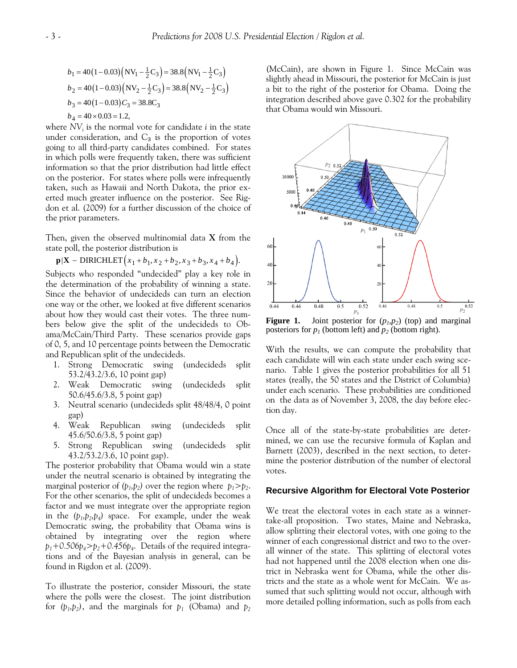$$
b_1 = 40(1 - 0.03)(N_{1} - \frac{1}{2}C_3) = 38.8(N_{1} - \frac{1}{2}C_3)
$$
  
\n
$$
b_2 = 40(1 - 0.03)(N_{2} - \frac{1}{2}C_3) = 38.8(N_{2} - \frac{1}{2}C_3)
$$
  
\n
$$
b_3 = 40(1 - 0.03)C_3 = 38.8C_3
$$
  
\n
$$
b_4 = 40 \times 0.03 = 1.2,
$$

where *NVi* is the normal vote for candidate *i* in the state under consideration, and  $C_3$  is the proportion of votes going to all third-party candidates combined. For states in which polls were frequently taken, there was sufficient information so that the prior distribution had little effect on the posterior. For states where polls were infrequently taken, such as Hawaii and North Dakota, the prior exerted much greater influence on the posterior. See Rigdon et al. (2009) for a further discussion of the choice of the prior parameters.

Then, given the observed multinomial data **X** from the state poll, the posterior distribution is

```
p|X ~ DIRICHLET(x_1 + b_1, x_2 + b_2, x_3 + b_3, x_4 + b_4).
```
Subjects who responded "undecided" play a key role in the determination of the probability of winning a state. Since the behavior of undecideds can turn an election one way or the other, we looked at five different scenarios about how they would cast their votes. The three numbers below give the split of the undecideds to Obama/McCain/Third Party. These scenarios provide gaps of 0, 5, and 10 percentage points between the Democratic and Republican split of the undecideds.

- 1. Strong Democratic swing (undecideds split 53.2/43.2/3.6, 10 point gap)
- 2. Weak Democratic swing (undecideds split 50.6/45.6/3.8, 5 point gap)
- 3. Neutral scenario (undecideds split 48/48/4, 0 point gap)
- 4. Weak Republican swing (undecideds split 45.6/50.6/3.8, 5 point gap)
- 5. Strong Republican swing (undecideds split 43.2/53.2/3.6, 10 point gap).

The posterior probability that Obama would win a state under the neutral scenario is obtained by integrating the marginal posterior of  $(p_1, p_2)$  over the region where  $p_1 > p_2$ . For the other scenarios, the split of undecideds becomes a factor and we must integrate over the appropriate region in the  $(p_1, p_2, p_4)$  space. For example, under the weak Democratic swing, the probability that Obama wins is obtained by integrating over the region where  $p_1+0.506p_4$ > $p_2+0.456p_4$ . Details of the required integrations and of the Bayesian analysis in general, can be found in Rigdon et al. (2009).

To illustrate the posterior, consider Missouri, the state where the polls were the closest. The joint distribution for  $(p_1, p_2)$ , and the marginals for  $p_1$  (Obama) and  $p_2$ 

(McCain), are shown in Figure 1. Since McCain was slightly ahead in Missouri, the posterior for McCain is just a bit to the right of the posterior for Obama. Doing the integration described above gave 0.302 for the probability that Obama would win Missouri.



**Figure 1.** Joint posterior for  $(p_1, p_2)$  (top) and marginal posteriors for  $p_1$  (bottom left) and  $p_2$  (bottom right).

With the results, we can compute the probability that each candidate will win each state under each swing scenario. Table 1 gives the posterior probabilities for all 51 states (really, the 50 states and the District of Columbia) under each scenario. These probabilities are conditioned on the data as of November 3, 2008, the day before election day.

Once all of the state-by-state probabilities are determined, we can use the recursive formula of Kaplan and Barnett (2003), described in the next section, to determine the posterior distribution of the number of electoral votes.

#### **Recursive Algorithm for Electoral Vote Posterior**

We treat the electoral votes in each state as a winnertake-all proposition. Two states, Maine and Nebraska, allow splitting their electoral votes, with one going to the winner of each congressional district and two to the overall winner of the state. This splitting of electoral votes had not happened until the 2008 election when one district in Nebraska went for Obama, while the other districts and the state as a whole went for McCain. We assumed that such splitting would not occur, although with more detailed polling information, such as polls from each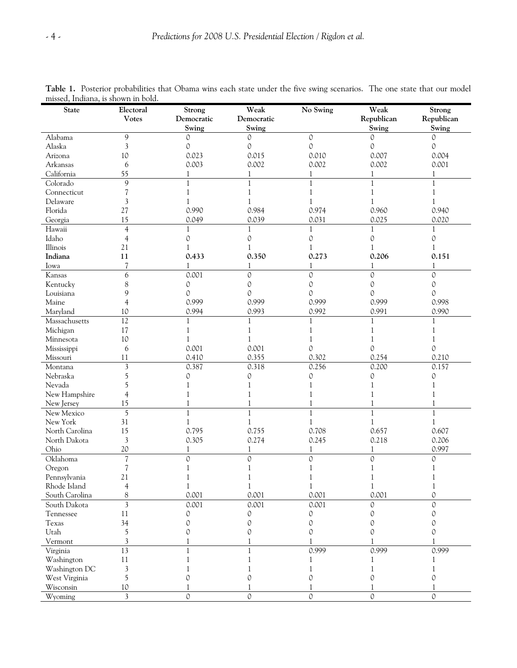| <b>State</b>           | missea, indiana, is snown in bold.<br>Electoral | Strong        | Weak               | No Swing | Weak               | Strong       |
|------------------------|-------------------------------------------------|---------------|--------------------|----------|--------------------|--------------|
|                        | <b>Votes</b>                                    | Democratic    | Democratic         |          | Republican         | Republican   |
|                        |                                                 | Swing         | Swing              |          | Swing              | Swing        |
| Alabama                | 9                                               | 0             | 0                  | 0        | 0                  | 0            |
| Alaska                 | 3                                               | 0             | 0                  | 0        | $\mathcal{O}$      | 0            |
| Arizona                | 10                                              | 0.023         | 0.015              | 0.010    | 0.007              | 0.004        |
| Arkansas               | 6                                               | 0.003         | 0.002              | 0.002    | 0.002              | 0.001        |
| California             | 55                                              | 1             | 1                  | 1        | 1                  | 1            |
| Colorado               | 9                                               | 1             | $\mathbf{1}$       | 1        | $\mathbf{1}$       | $\mathbf{1}$ |
| Connecticut            | 7                                               |               |                    |          | 1                  |              |
| Delaware               | 3                                               |               |                    |          | 1                  |              |
| Florida                | 27                                              | 0.990         | 0.984              | 0.974    | 0.960              | 0.940        |
| Georgia                | 15                                              | 0.049         | 0.039              | 0.031    | 0.025              | 0.020        |
| Hawaii                 | $\overline{4}$                                  | 1             | 1                  | 1        | 1                  | 1            |
| Idaho                  | 4                                               | 0             | $\mathcal{O}$      | 0        | $\circ$            | 0            |
| Illinois               | 21                                              |               | 1                  | 1        | 1                  | 1            |
| Indiana                | 11                                              | 0.433         | 0.350              | 0.273    | 0.206              | 0.151        |
| Iowa                   | 7                                               | 1             | $\mathbf{1}$       | 1        | 1                  | 1            |
| Kansas                 | 6                                               | 0.001         | $\circ$            | 0        | $\mathcal{O}$      | 0            |
| Kentucky               | 8                                               | 0             | 0                  | 0        | 0                  | 0            |
| Louisiana              | 9                                               | $\mathcal{O}$ | 0                  | 0        | 0                  | 0            |
| Maine                  | 4                                               | 0.999         | 0.999              | 0.999    | 0.999              | 0.998        |
| Maryland               | 10                                              | 0.994         | 0.993              | 0.992    | 0.991              | 0.990        |
| Massachusetts          | $\overline{12}$                                 | 1             | 1                  | 1        |                    | 1            |
| Michigan               | 17                                              | 1             | 1                  |          | 1                  |              |
| Minnesota              | 10                                              | 1             |                    |          |                    |              |
| Mississippi            | 6                                               | 0.001         | 0.001              | 0        | 0                  | 0            |
| Missouri               | 11                                              | 0.410         | 0.355              | 0.302    | 0.254              | 0.210        |
| Montana                | $\mathfrak{Z}$                                  | 0.387         | 0.318              | 0.256    | 0.200              | 0.157        |
| Nebraska               | 5                                               | 0             | $\mathcal{O}$      | 0        | 0                  | 0            |
| Nevada                 | 5                                               |               |                    |          |                    |              |
| New Hampshire          | 4                                               |               |                    |          |                    |              |
| New Jersey             | 15                                              |               |                    |          |                    |              |
| New Mexico             | 5                                               |               |                    |          |                    |              |
| New York               | 31                                              | 1             |                    |          | 1                  | 1            |
| North Carolina         | 15                                              | 0.795         | 0.755              | 0.708    | 0.657              | 0.607        |
| North Dakota           | $\mathfrak{Z}$                                  | 0.305         | 0.274              | 0.245    | 0.218              | 0.206        |
| Ohio<br>Oklahoma       | 20<br>$\overline{\mathcal{L}}$                  | 0             | 1<br>$\mathcal{O}$ | 1<br>0   | 1<br>$\mathcal{O}$ | 0.997<br>0   |
|                        | 7                                               |               |                    |          |                    |              |
| Oregon<br>Pennsylvania | 21                                              |               |                    |          |                    |              |
| Rhode Island           | $\overline{4}$                                  |               |                    | 1        | 1                  |              |
| South Carolina         | 8                                               | 0.001         | 0.001              | 0.001    | 0.001              | 0            |
| South Dakota           | 3                                               | 0.001         | 0.001              | 0.001    | 0                  | 0            |
| Tennessee              | 11                                              | 0             | 0                  | 0        | 0                  | 0            |
| Texas                  | 34                                              | 0             | 0                  | 0        | 0                  |              |
| Utah                   | 5                                               | 0             | 0                  | 0        | 0                  | 0            |
| Vermont                | $\mathfrak{Z}$                                  |               |                    |          |                    |              |
| Virginia               | 13                                              |               |                    | 0.999    | 0.999              | 0.999        |
| Washington             | 11                                              |               |                    |          |                    |              |
| Washington DC          | $\mathfrak{Z}$                                  |               |                    |          |                    |              |
| West Virginia          | 5                                               |               |                    |          | 0                  |              |
| Wisconsin              | $10\,$                                          |               |                    |          |                    |              |
| Wyoming                | $\mathfrak{Z}$                                  | 0             | $\mathcal{O}$      | 0        | 0                  | 0            |

**Table 1.** Posterior probabilities that Obama wins each state under the five swing scenarios. The one state that our model missed, Indiana, is shown in bold.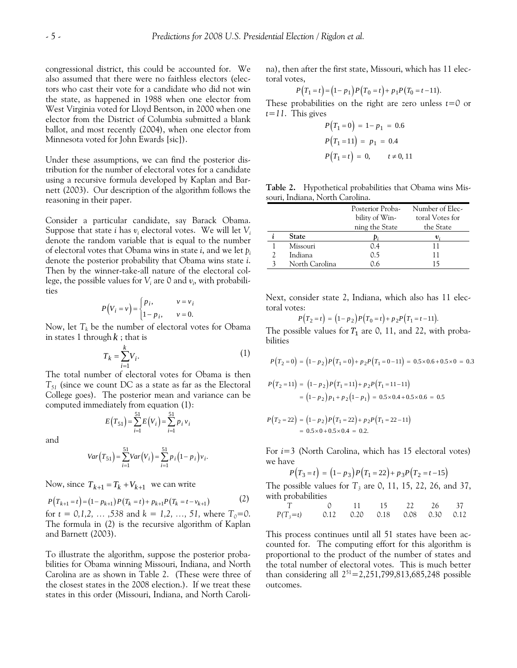congressional district, this could be accounted for. We also assumed that there were no faithless electors (electors who cast their vote for a candidate who did not win the state, as happened in 1988 when one elector from West Virginia voted for Lloyd Bentson, in 2000 when one elector from the District of Columbia submitted a blank ballot, and most recently (2004), when one elector from Minnesota voted for John Ewards [sic]).

Under these assumptions, we can find the posterior distribution for the number of electoral votes for a candidate using a recursive formula developed by Kaplan and Barnett (2003). Our description of the algorithm follows the reasoning in their paper.

Consider a particular candidate, say Barack Obama. Suppose that state *i* has  $v_i$  electoral votes. We will let  $V_i$ denote the random variable that is equal to the number of electoral votes that Obama wins in state *i*, and we let *pi* denote the posterior probability that Obama wins state *i*. Then by the winner-take-all nature of the electoral college, the possible values for *Vi* are 0 and *vi* , with probabilities

$$
P(V_i = v) = \begin{cases} p_i, & v = v_i \\ 1 - p_i, & v = 0. \end{cases}
$$

Now, let  $T_k$  be the number of electoral votes for Obama in states 1 through  $k$ ; that is

$$
T_k = \sum_{i=1}^k V_i.
$$
 (1)

The total number of electoral votes for Obama is then *T51* (since we count DC as a state as far as the Electoral College goes). The posterior mean and variance can be computed immediately from equation (1):

and

$$
Var(T_{51}) = \sum_{i=1}^{51} Var(V_i) = \sum_{i=1}^{51} p_i (1 - p_i) v_i.
$$

 $(T_{51}) = \sum E(V_i) = \sum p_i v_i$ 

51 51  $(51)^{2} \sum_{i=1}^{n} E(V_i)^{2} \sum_{i=1}^{n} p_i$  $E(T_{51}) = \sum E(V_i) = \sum p$  $=\sum_{i=1}E(V_i)=\sum_{i=1}p_i v_i$ 

Now, since  $T_{k+1} = T_k + V_{k+1}$  we can write

$$
P(T_{k+1} = t) = (1 - p_{k+1})P(T_k = t) + p_{k+1}P(T_k = t - v_{k+1})
$$
 (2)  
for  $t = 0, 1, 2, ..., 538$  and  $k = 1, 2, ..., 51$ , where  $T_0 = 0$ .  
The formula in (2) is the recursive algorithm of Kaplan  
and Barnett (2003).

To illustrate the algorithm, suppose the posterior probabilities for Obama winning Missouri, Indiana, and North Carolina are as shown in Table 2. (These were three of the closest states in the 2008 election.). If we treat these states in this order (Missouri, Indiana, and North Carolina), then after the first state, Missouri, which has 11 electoral votes,

$$
P(T_1 = t) = (1 - p_1) P(T_0 = t) + p_1 P(T_0 = t - 11).
$$

These probabilities on the right are zero unless *t=0* or *t=11*. This gives

$$
P(T_1 = 0) = 1 - p_1 = 0.6
$$
  
\n
$$
P(T_1 = 11) = p_1 = 0.4
$$
  
\n
$$
P(T_1 = t) = 0, \qquad t \neq 0, 11
$$

**Table 2.** Hypothetical probabilities that Obama wins Missouri, Indiana, North Carolina.

|                | Posterior Proba- | Number of Elec- |
|----------------|------------------|-----------------|
|                | bility of Win-   | toral Votes for |
|                | ning the State   | the State       |
| State          |                  |                 |
| Missouri       | 0.4              | 11              |
| Indiana        | 0.5              | 11              |
| North Carolina | 0.6              | 15              |

Next, consider state 2, Indiana, which also has 11 electoral votes:

$$
P(T_2 = t) = (1 - p_2)P(T_0 = t) + p_2P(T_1 = t - 11).
$$

The possible values for  $T_1$  are 0, 11, and 22, with probabilities

$$
P(T_2 = 0) = (1 - p_2)P(T_1 = 0) + p_2P(T_1 = 0 - 11) = 0.5 \times 0.6 + 0.5 \times 0 = 0.3
$$
  

$$
P(T_2 = 11) = (1 - p_2)P(T_1 = 11) + p_2P(T_1 = 11 - 11)
$$

$$
= (1 - p_2) p_1 + p_2 (1 - p_1) = 0.5 \times 0.4 + 0.5 \times 0.6 = 0.5
$$

$$
P(T_2 = 22) = (1 - p_2)P(T_1 = 22) + p_2P(T_1 = 22 - 11)
$$
  
= 0.5 × 0 + 0.5 × 0.4 = 0.2.

For *i*=3 (North Carolina, which has 15 electoral votes) we have

$$
P(T_3 = t) = (1 - p_3)P(T_1 = 22) + p_3P(T_2 = t - 15)
$$

The possible values for  $T_3$  are 0, 11, 15, 22, 26, and 37, with probabilities

*T* 0 11 15 22 26 37 *P(T3=t)* 0.12 0.20 0.18 0.08 0.30 0.12

This process continues until all 51 states have been accounted for. The computing effort for this algorithm is proportional to the product of the number of states and the total number of electoral votes. This is much better than considering all  $2^{51}$  = 2,251,799,813,685,248 possible outcomes.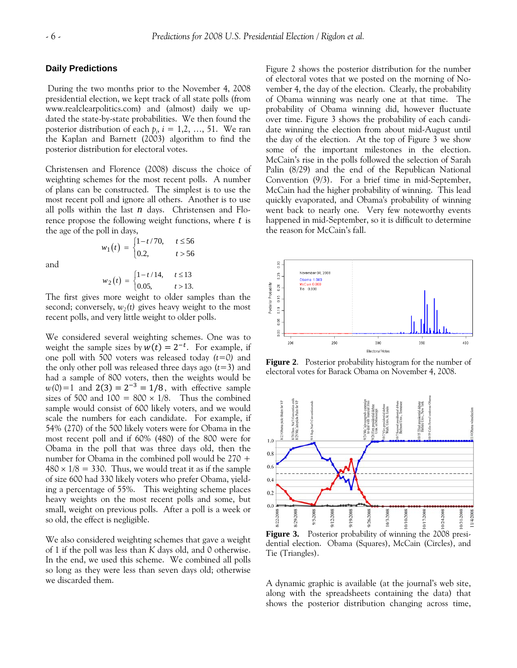# **Daily Predictions**

 During the two months prior to the November 4, 2008 presidential election, we kept track of all state polls (from www.realclearpolitics.com) and (almost) daily we updated the state-by-state probabilities. We then found the posterior distribution of each  $p_i$ ,  $i = 1, 2, ..., 51$ . We ran the Kaplan and Barnett (2003) algorithm to find the posterior distribution for electoral votes.

Christensen and Florence (2008) discuss the choice of weighting schemes for the most recent polls. A number of plans can be constructed. The simplest is to use the most recent poll and ignore all others. Another is to use all polls within the last *n* days. Christensen and Florence propose the following weight functions, where *t* is the age of the poll in days,

and

$$
w_2(t) = \begin{cases} 1 - t/14, & t \le 13 \\ 0.05, & t > 13. \end{cases}
$$

 $t_1(t) = \begin{cases} 1 - t/70, & t \le 56 \\ 0.2, & t > 56 \end{cases}$  $w_1(t) = \begin{cases} 1 - t/70, & t \le 0.2, \\ 0.2, & t > 0.4 \end{cases}$ 

The first gives more weight to older samples than the second; conversely,  $w_2(t)$  gives heavy weight to the most recent polls, and very little weight to older polls.

We considered several weighting schemes. One was to weight the sample sizes by  $w(t) = 2^{-t}$ . For example, if one poll with 500 voters was released today *(t=0)* and the only other poll was released three days ago (*t=*3) and had a sample of 800 voters, then the weights would be  $w(0)=1$  and  $2(3) = 2^{-3} = 1/8$ , with effective sample sizes of 500 and  $100 = 800 \times 1/8$ . Thus the combined sample would consist of 600 likely voters, and we would scale the numbers for each candidate. For example, if 54% (270) of the 500 likely voters were for Obama in the most recent poll and if 60% (480) of the 800 were for Obama in the poll that was three days old, then the number for Obama in the combined poll would be 270 +  $480 \times 1/8 = 330$ . Thus, we would treat it as if the sample of size 600 had 330 likely voters who prefer Obama, yielding a percentage of 55%. This weighting scheme places heavy weights on the most recent polls and some, but small, weight on previous polls. After a poll is a week or so old, the effect is negligible.

We also considered weighting schemes that gave a weight of 1 if the poll was less than *K* days old, and 0 otherwise. In the end, we used this scheme. We combined all polls so long as they were less than seven days old; otherwise we discarded them.

Figure 2 shows the posterior distribution for the number of electoral votes that we posted on the morning of November 4, the day of the election. Clearly, the probability of Obama winning was nearly one at that time. The probability of Obama winning did, however fluctuate over time. Figure 3 shows the probability of each candidate winning the election from about mid-August until the day of the election. At the top of Figure 3 we show some of the important milestones in the election. McCain's rise in the polls followed the selection of Sarah Palin (8/29) and the end of the Republican National Convention (9/3). For a brief time in mid-September, McCain had the higher probability of winning. This lead quickly evaporated, and Obama's probability of winning went back to nearly one. Very few noteworthy events happened in mid-September, so it is difficult to determine the reason for McCain's fall.



**Figure 2**. Posterior probability histogram for the number of electoral votes for Barack Obama on November 4, 2008.



**Figure 3.** Posterior probability of winning the 2008 presidential election. Obama (Squares), McCain (Circles), and Tie (Triangles).

A dynamic graphic is available (at the journal's web site, along with the spreadsheets containing the data) that shows the posterior distribution changing across time,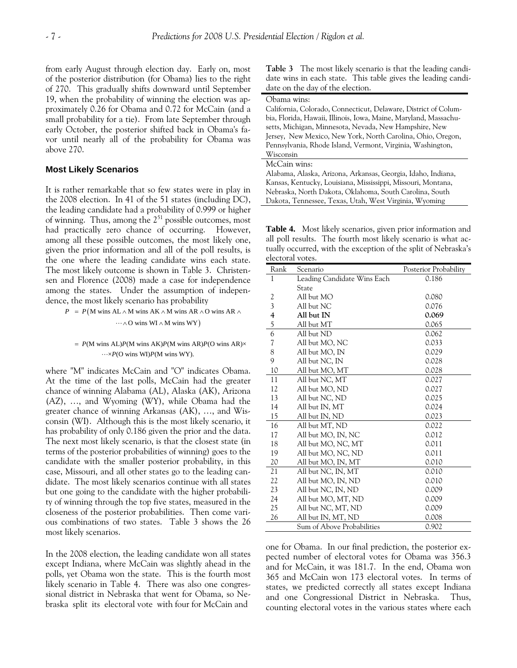from early August through election day. Early on, most of the posterior distribution (for Obama) lies to the right of 270. This gradually shifts downward until September 19, when the probability of winning the election was approximately 0.26 for Obama and 0.72 for McCain (and a small probability for a tie). From late September through early October, the posterior shifted back in Obama's favor until nearly all of the probability for Obama was above 270.

#### **Most Likely Scenarios**

It is rather remarkable that so few states were in play in the 2008 election. In 41 of the 51 states (including DC), the leading candidate had a probability of 0.999 or higher of winning. Thus, among the  $2^{51}$  possible outcomes, most had practically zero chance of occurring. However, among all these possible outcomes, the most likely one, given the prior information and all of the poll results, is the one where the leading candidate wins each state. The most likely outcome is shown in Table 3. Christensen and Florence (2008) made a case for independence among the states. Under the assumption of independence, the most likely scenario has probability

 $P = P(M \text{ wins AL} \wedge M \text{ wins AK} \wedge M \text{ wins AR} \wedge O \text{ wins AR} \wedge$  $\cdots \wedge$  O wins WI  $\wedge$  M wins WY)

#### $P(M \text{ wins AL}) P(M \text{ wins AK}) P(M \text{ wins AR}) P(O \text{ wins AR}) \times P(P(M \text{ wins AR}))$  $\cdots$ *×P*(O wins WI)*P*(M wins WY).

where "M" indicates McCain and "O" indicates Obama. At the time of the last polls, McCain had the greater chance of winning Alabama (AL), Alaska (AK), Arizona (AZ), …, and Wyoming (WY), while Obama had the greater chance of winning Arkansas (AK), …, and Wisconsin (WI). Although this is the most likely scenario, it has probability of only 0.186 given the prior and the data. The next most likely scenario, is that the closest state (in terms of the posterior probabilities of winning) goes to the candidate with the smaller posterior probability, in this case, Missouri, and all other states go to the leading candidate. The most likely scenarios continue with all states but one going to the candidate with the higher probability of winning through the top five states, measured in the closeness of the posterior probabilities. Then come various combinations of two states. Table 3 shows the 26 most likely scenarios.

In the 2008 election, the leading candidate won all states except Indiana, where McCain was slightly ahead in the polls, yet Obama won the state. This is the fourth most likely scenario in Table 4. There was also one congressional district in Nebraska that went for Obama, so Nebraska split its electoral vote with four for McCain and

**Table 3** The most likely scenario is that the leading candidate wins in each state. This table gives the leading candidate on the day of the election.

| Obama wins:                                                      |
|------------------------------------------------------------------|
| California, Colorado, Connecticut, Delaware, District of Colum-  |
| bia, Florida, Hawaii, Illinois, Iowa, Maine, Maryland, Massachu- |
| setts, Michigan, Minnesota, Nevada, New Hampshire, New           |
| Jersey, New Mexico, New York, North Carolina, Ohio, Oregon,      |
| Pennsylvania, Rhode Island, Vermont, Virginia, Washington,       |
| Wisconsin                                                        |
| McCain wins:                                                     |
|                                                                  |
| Alabama, Alaska, Arizona, Arkansas, Georgia, Idaho, Indiana,     |
| Kansas, Kentucky, Louisiana, Mississippi, Missouri, Montana,     |
| Nebraska, North Dakota, Oklahoma, South Carolina, South          |

**Table 4.** Most likely scenarios, given prior information and all poll results. The fourth most likely scenario is what actually occurred, with the exception of the split of Nebraska's electoral votes.

| Rank                     | Scenario                    | Posterior Probability |
|--------------------------|-----------------------------|-----------------------|
| $\mathbf{1}$             | Leading Candidate Wins Each | 0.186                 |
|                          | State                       |                       |
|                          | All but MO                  | 0.080                 |
| $\frac{2}{3}$            | All but NC                  | 0.076                 |
| $rac{4}{5}$              | All but IN                  | 0.069                 |
|                          | All but MT                  | 0.065                 |
| $\overline{6}$           | All but ND                  | 0.062                 |
| $\overline{\mathcal{U}}$ | All but MO, NC              | 0.033                 |
| 8                        | All but MO, IN              | 0.029                 |
| 9                        | All but NC, IN              | 0.028                 |
| 10                       | All but MO, MT              | 0.028                 |
| 11                       | All but NC, MT              | 0.027                 |
| 12                       | All but MO, ND              | 0.027                 |
| 13                       | All but NC, ND              | 0.025                 |
| 14                       | All but IN, MT              | 0.024                 |
| 15                       | All but IN, ND              | 0.023                 |
| 16                       | All but MT, ND              | 0.022                 |
| 17                       | All but MO, IN, NC          | 0.012                 |
| 18                       | All but MO, NC, MT          | 0.011                 |
| 19                       | All but MO, NC, ND          | 0.011                 |
| 20                       | All but MO, IN, MT          | 0.010                 |
| 21                       | All but NC, IN, MT          | 0.010                 |
| 22                       | All but MO, IN, ND          | 0.010                 |
| 23                       | All but NC, IN, ND          | 0.009                 |
| 24                       | All but MO, MT, ND          | 0.009                 |
| 25                       | All but NC, MT, ND          | 0.009                 |
| 26                       | All but IN, MT, ND          | 0.008                 |
|                          | Sum of Above Probabilities  | 0.902                 |

one for Obama. In our final prediction, the posterior expected number of electoral votes for Obama was 356.3 and for McCain, it was 181.7. In the end, Obama won 365 and McCain won 173 electoral votes. In terms of states, we predicted correctly all states except Indiana and one Congressional District in Nebraska. Thus, counting electoral votes in the various states where each